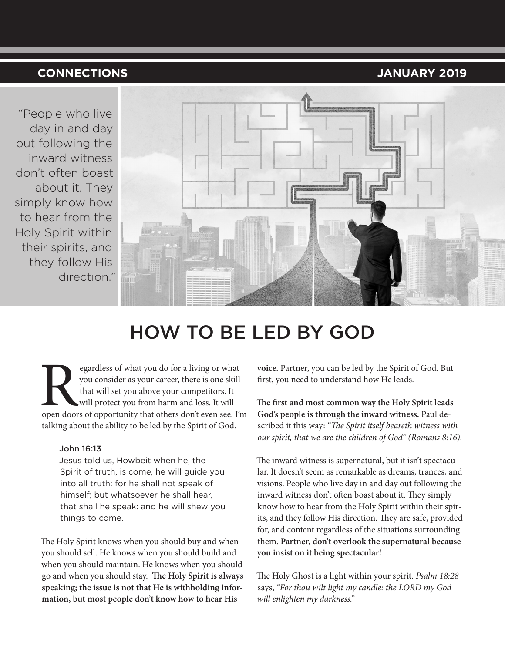## **CONNECTIONS JANUARY 2019**

"People who live day in and day out following the inward witness don't often boast about it. They simply know how to hear from the Holy Spirit within their spirits, and they follow His direction."



# HOW TO BE LED BY GOD

Expediences of what you do for a living or what you consider as your career, there is one skill that will set you above your competitors. It will protect you from harm and loss. It will open doors of opportunity that other you consider as your career, there is one skill that will set you above your competitors. It will protect you from harm and loss. It will talking about the ability to be led by the Spirit of God.

### John 16:13

Jesus told us, Howbeit when he, the Spirit of truth, is come, he will guide you into all truth: for he shall not speak of himself; but whatsoever he shall hear, that shall he speak: and he will shew you things to come.

The Holy Spirit knows when you should buy and when you should sell. He knows when you should build and when you should maintain. He knows when you should go and when you should stay. **The Holy Spirit is always speaking; the issue is not that He is withholding information, but most people don't know how to hear His** 

**voice.** Partner, you can be led by the Spirit of God. But first, you need to understand how He leads.

**The first and most common way the Holy Spirit leads God's people is through the inward witness.** Paul described it this way: *"The Spirit itself beareth witness with our spirit, that we are the children of God" (Romans 8:16).*

The inward witness is supernatural, but it isn't spectacular. It doesn't seem as remarkable as dreams, trances, and visions. People who live day in and day out following the inward witness don't often boast about it. They simply know how to hear from the Holy Spirit within their spirits, and they follow His direction. They are safe, provided for, and content regardless of the situations surrounding them. **Partner, don't overlook the supernatural because you insist on it being spectacular!** 

The Holy Ghost is a light within your spirit. *Psalm 18:28* says, *"For thou wilt light my candle: the LORD my God will enlighten my darkness."*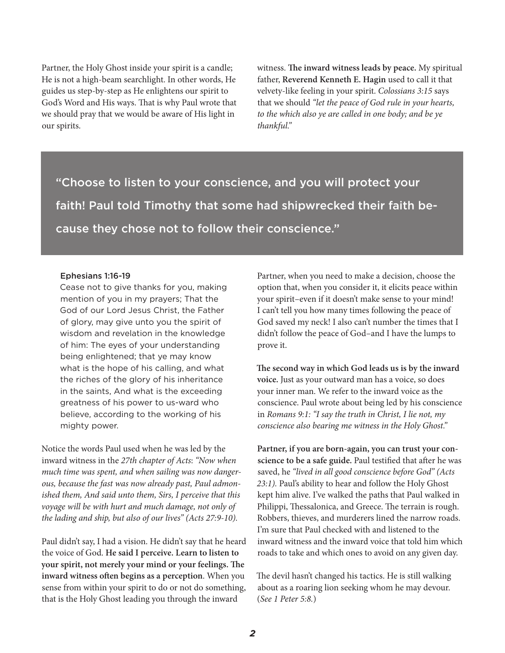Partner, the Holy Ghost inside your spirit is a candle; He is not a high-beam searchlight. In other words, He guides us step-by-step as He enlightens our spirit to God's Word and His ways. That is why Paul wrote that we should pray that we would be aware of His light in our spirits.

witness. **The inward witness leads by peace.** My spiritual father, **Reverend Kenneth E. Hagin** used to call it that velvety-like feeling in your spirit. *Colossians 3:15* says that we should *"let the peace of God rule in your hearts, to the which also ye are called in one body; and be ye thankful."*

"Choose to listen to your conscience, and you will protect your faith! Paul told Timothy that some had shipwrecked their faith because they chose not to follow their conscience."

#### Ephesians 1:16-19

Cease not to give thanks for you, making mention of you in my prayers; That the God of our Lord Jesus Christ, the Father of glory, may give unto you the spirit of wisdom and revelation in the knowledge of him: The eyes of your understanding being enlightened; that ye may know what is the hope of his calling, and what the riches of the glory of his inheritance in the saints, And what is the exceeding greatness of his power to us-ward who believe, according to the working of his mighty power.

Notice the words Paul used when he was led by the inward witness in the *27th chapter of Acts*: *"Now when much time was spent, and when sailing was now dangerous, because the fast was now already past, Paul admonished them, And said unto them, Sirs, I perceive that this voyage will be with hurt and much damage, not only of the lading and ship, but also of our lives" (Acts 27:9-10).*

Paul didn't say, I had a vision. He didn't say that he heard the voice of God. **He said I perceive. Learn to listen to your spirit, not merely your mind or your feelings. The inward witness often begins as a perception**. When you sense from within your spirit to do or not do something, that is the Holy Ghost leading you through the inward

Partner, when you need to make a decision, choose the option that, when you consider it, it elicits peace within your spirit–even if it doesn't make sense to your mind! I can't tell you how many times following the peace of God saved my neck! I also can't number the times that I didn't follow the peace of God–and I have the lumps to prove it.

**The second way in which God leads us is by the inward voice.** Just as your outward man has a voice, so does your inner man. We refer to the inward voice as the conscience. Paul wrote about being led by his conscience in *Romans 9:1: "I say the truth in Christ, I lie not, my conscience also bearing me witness in the Holy Ghost."*

**Partner, if you are born-again, you can trust your conscience to be a safe guide.** Paul testified that after he was saved, he *"lived in all good conscience before God" (Acts 23:1).* Paul's ability to hear and follow the Holy Ghost kept him alive. I've walked the paths that Paul walked in Philippi, Thessalonica, and Greece. The terrain is rough. Robbers, thieves, and murderers lined the narrow roads. I'm sure that Paul checked with and listened to the inward witness and the inward voice that told him which roads to take and which ones to avoid on any given day.

The devil hasn't changed his tactics. He is still walking about as a roaring lion seeking whom he may devour. (*See 1 Peter 5:8.*)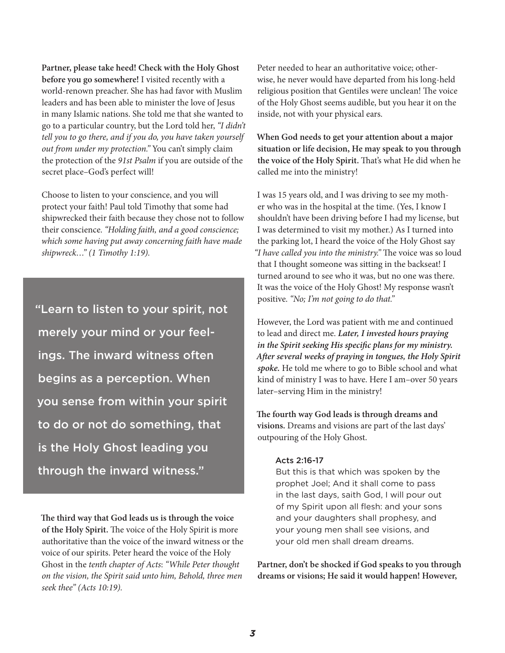**Partner, please take heed! Check with the Holy Ghost before you go somewhere!** I visited recently with a world-renown preacher. She has had favor with Muslim leaders and has been able to minister the love of Jesus in many Islamic nations. She told me that she wanted to go to a particular country, but the Lord told her, *"I didn't tell you to go there, and if you do, you have taken yourself out from under my protection."* You can't simply claim the protection of the *91st Psalm* if you are outside of the secret place–God's perfect will!

Choose to listen to your conscience, and you will protect your faith! Paul told Timothy that some had shipwrecked their faith because they chose not to follow their conscience. *"Holding faith, and a good conscience; which some having put away concerning faith have made shipwreck…" (1 Timothy 1:19).*

"Learn to listen to your spirit, not merely your mind or your feelings. The inward witness often begins as a perception. When you sense from within your spirit to do or not do something, that is the Holy Ghost leading you through the inward witness."

**The third way that God leads us is through the voice of the Holy Spirit.** The voice of the Holy Spirit is more authoritative than the voice of the inward witness or the voice of our spirits. Peter heard the voice of the Holy Ghost in the *tenth chapter of Acts*: *"While Peter thought on the vision, the Spirit said unto him, Behold, three men seek thee" (Acts 10:19).*

Peter needed to hear an authoritative voice; otherwise, he never would have departed from his long-held religious position that Gentiles were unclean! The voice of the Holy Ghost seems audible, but you hear it on the inside, not with your physical ears.

**When God needs to get your attention about a major situation or life decision, He may speak to you through the voice of the Holy Spirit.** That's what He did when he called me into the ministry!

I was 15 years old, and I was driving to see my mother who was in the hospital at the time. (Yes, I know I shouldn't have been driving before I had my license, but I was determined to visit my mother.) As I turned into the parking lot, I heard the voice of the Holy Ghost say *"I have called you into the ministry."* The voice was so loud that I thought someone was sitting in the backseat! I turned around to see who it was, but no one was there. It was the voice of the Holy Ghost! My response wasn't positive. *"No; I'm not going to do that."* 

However, the Lord was patient with me and continued to lead and direct me. *Later, I invested hours praying in the Spirit seeking His specific plans for my ministry. After several weeks of praying in tongues, the Holy Spirit spoke.* He told me where to go to Bible school and what kind of ministry I was to have. Here I am–over 50 years later–serving Him in the ministry!

**The fourth way God leads is through dreams and visions.** Dreams and visions are part of the last days' outpouring of the Holy Ghost.

#### Acts 2:16-17

But this is that which was spoken by the prophet Joel; And it shall come to pass in the last days, saith God, I will pour out of my Spirit upon all flesh: and your sons and your daughters shall prophesy, and your young men shall see visions, and your old men shall dream dreams.

**Partner, don't be shocked if God speaks to you through dreams or visions; He said it would happen! However,**